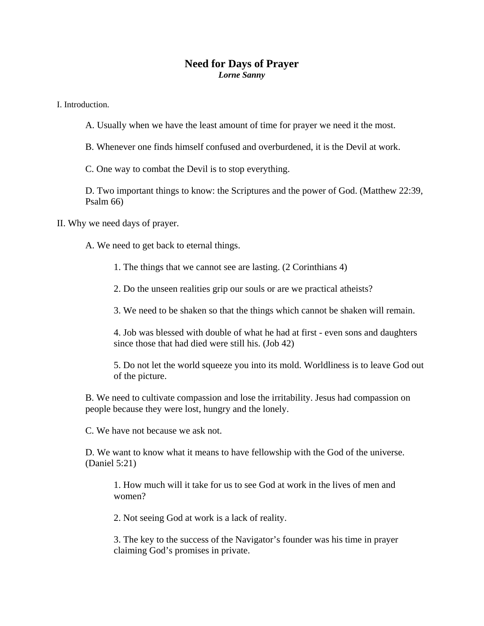## **Need for Days of Prayer**  *Lorne Sanny*

I. Introduction.

A. Usually when we have the least amount of time for prayer we need it the most.

B. Whenever one finds himself confused and overburdened, it is the Devil at work.

C. One way to combat the Devil is to stop everything.

D. Two important things to know: the Scriptures and the power of God. (Matthew 22:39, Psalm 66)

II. Why we need days of prayer.

A. We need to get back to eternal things.

1. The things that we cannot see are lasting. (2 Corinthians 4)

2. Do the unseen realities grip our souls or are we practical atheists?

3. We need to be shaken so that the things which cannot be shaken will remain.

4. Job was blessed with double of what he had at first - even sons and daughters since those that had died were still his. (Job 42)

5. Do not let the world squeeze you into its mold. Worldliness is to leave God out of the picture.

B. We need to cultivate compassion and lose the irritability. Jesus had compassion on people because they were lost, hungry and the lonely.

C. We have not because we ask not.

D. We want to know what it means to have fellowship with the God of the universe. (Daniel 5:21)

1. How much will it take for us to see God at work in the lives of men and women?

2. Not seeing God at work is a lack of reality.

3. The key to the success of the Navigator's founder was his time in prayer claiming God's promises in private.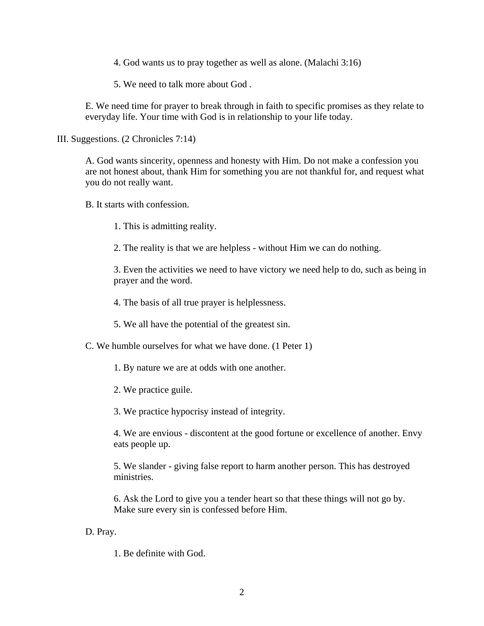4. God wants us to pray together as well as alone. (Malachi 3:16)

5. We need to talk more about God .

E. We need time for prayer to break through in faith to specific promises as they relate to everyday life. Your time with God is in relationship to your life today.

III. Suggestions. (2 Chronicles 7:14)

A. God wants sincerity, openness and honesty with Him. Do not make a confession you are not honest about, thank Him for something you are not thankful for, and request what you do not really want.

B. It starts with confession.

1. This is admitting reality.

2. The reality is that we are helpless - without Him we can do nothing.

3. Even the activities we need to have victory we need help to do, such as being in prayer and the word.

4. The basis of all true prayer is helplessness.

5. We all have the potential of the greatest sin.

C. We humble ourselves for what we have done. (1 Peter 1)

1. By nature we are at odds with one another.

2. We practice guile.

3. We practice hypocrisy instead of integrity.

4. We are envious - discontent at the good fortune or excellence of another. Envy eats people up.

5. We slander - giving false report to harm another person. This has destroyed ministries.

6. Ask the Lord to give you a tender heart so that these things will not go by. Make sure every sin is confessed before Him.

## D. Pray.

1. Be definite with God.